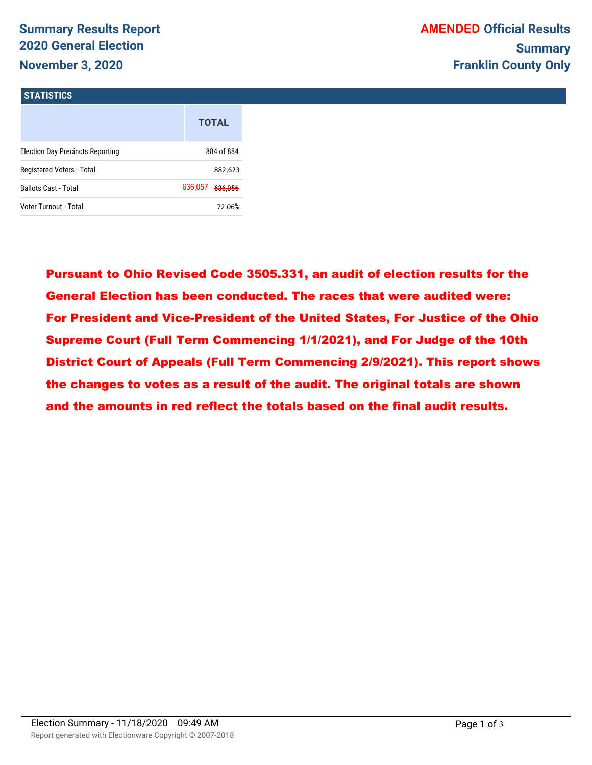# **Summary Results Report 2020 General Election November 3, 2020**

#### **STATISTICS**

| <b>Summary Results Report</b><br><b>2020 General Election</b> |                    |  |
|---------------------------------------------------------------|--------------------|--|
| <b>November 3, 2020</b>                                       |                    |  |
| <b>STATISTICS</b>                                             |                    |  |
|                                                               | <b>TOTAL</b>       |  |
| <b>Election Day Precincts Reporting</b>                       | 884 of 884         |  |
| Registered Voters - Total                                     | 882,623            |  |
| <b>Ballots Cast - Total</b>                                   | 636,057<br>636,056 |  |
| Voter Turnout - Total                                         | 72.06%             |  |

Pursuant to Ohio Revised Code 3505.331, an audit of election results for the General Election has been conducted. The races that were audited were: For President and Vice-President of the United States, For Justice of the Ohio Supreme Court (Full Term Commencing 1/1/2021), and For Judge of the 10th District Court of Appeals (Full Term Commencing 2/9/2021). This report shows the changes to votes as a result of the audit. The original totals are shown and the amounts in red reflect the totals based on the final audit results.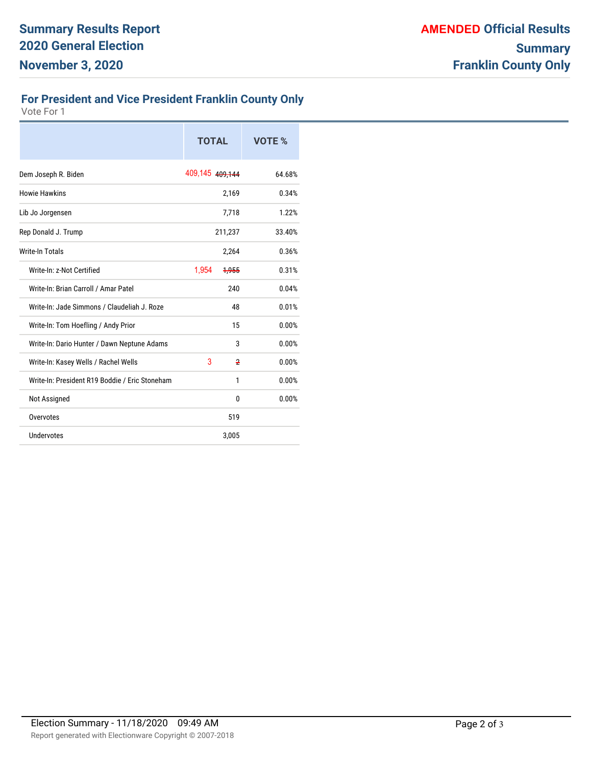### **For President and Vice President Franklin County Only**

Vote For 1

|                                                | <b>TOTAL</b>    |       | VOTE % |
|------------------------------------------------|-----------------|-------|--------|
| Dem Joseph R. Biden                            | 409,145 409,144 |       | 64.68% |
| <b>Howie Hawkins</b>                           |                 | 2,169 | 0.34%  |
| Lib Jo Jorgensen                               |                 | 7,718 | 1.22%  |
| Rep Donald J. Trump                            | 211,237         |       | 33.40% |
| <b>Write-In Totals</b>                         |                 | 2,264 | 0.36%  |
| Write-In: z-Not Certified                      | 1,954           | 1,955 | 0.31%  |
| Write-In: Brian Carroll / Amar Patel           |                 | 240   | 0.04%  |
| Write-In: Jade Simmons / Claudeliah J. Roze    |                 | 48    | 0.01%  |
| Write-In: Tom Hoefling / Andy Prior            |                 | 15    | 0.00%  |
| Write-In: Dario Hunter / Dawn Neptune Adams    |                 | 3     | 0.00%  |
| Write-In: Kasey Wells / Rachel Wells           | 3               | 2     | 0.00%  |
| Write-In: President R19 Boddie / Eric Stoneham |                 | 1     | 0.00%  |
| Not Assigned                                   |                 | 0     | 0.00%  |
| Overvotes                                      |                 | 519   |        |
| Undervotes                                     |                 | 3,005 |        |